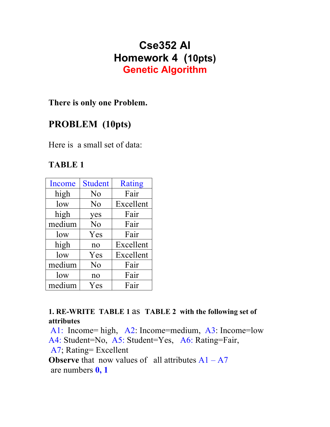# **Cse352 AI Homework 4 (10pts) Genetic Algorithm**

### **There is only one Problem.**

## **PROBLEM (10pts)**

Here is a small set of data:

### **TABLE 1**

| Income | <b>Student</b> | <b>Rating</b> |
|--------|----------------|---------------|
| high   | N <sub>0</sub> | Fair          |
| low    | N <sub>o</sub> | Excellent     |
| high   | yes            | Fair          |
| medium | N <sub>o</sub> | Fair          |
| low    | Yes            | Fair          |
| high   | no             | Excellent     |
| low    | Yes            | Excellent     |
| medium | No             | Fair          |
| low    | no             | Fair          |
| medium | Yes            | Fair          |

**1. RE-WRITE TABLE 1** as **TABLE 2 with the following set of attributes**

A1: Income= high, A2: Income=medium, A3: Income=low A4: Student=No, A5: Student=Yes, A6: Rating=Fair, A7; Rating= Excellent **Observe** that now values of all attributes  $A1 - A7$ are numbers **0, 1**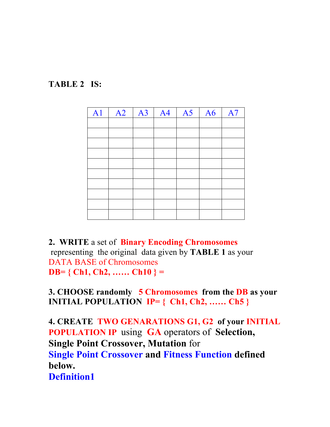



**2. WRITE** a set of **Binary Encoding Chromosomes** representing the original data given by **TABLE 1** as your DATA BASE of Chromosomes **DB= { Ch1, Ch2, …… Ch10 } =** 

**3. CHOOSE randomly 5 Chromosomes from the DB as your INITIAL POPULATION IP= { Ch1, Ch2, …… Ch5 }**

**4. CREATE TWO GENARATIONS G1, G2 of your INITIAL POPULATION IP** using **GA** operators of **Selection, Single Point Crossover, Mutation** for **Single Point Crossover and Fitness Function defined below. Definition1**